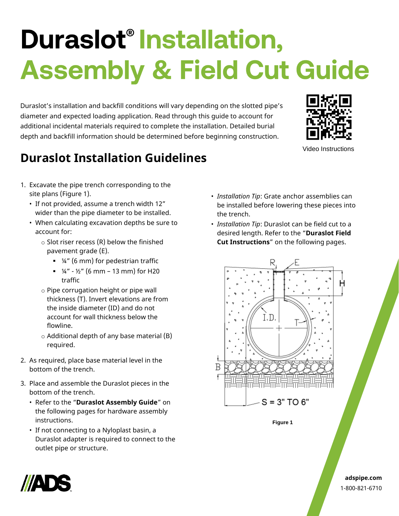# **Duraslot® Installation, Assembly & Field Cut Guide**

Duraslot's installation and backfill conditions will vary depending on the slotted pipe's diameter and expected loading application. Read through this guide to account for additional incidental materials required to complete the installation. Detailed burial depth and backfill information should be determined before beginning construction.



Video Instructions

# **Duraslot Installation Guidelines**

- 1. Excavate the pipe trench corresponding to the site plans (Figure 1).
	- If not provided, assume a trench width 12" wider than the pipe diameter to be installed.
	- When calculating excavation depths be sure to account for:
		- $\circ$  Slot riser recess (R) below the finished pavement grade (E).
			- ¼" (6 mm) for pedestrian traffic
			- $\frac{1}{2}$  %" 1/<sub>2</sub>" (6 mm 13 mm) for H20 traffic
		- o Pipe corrugation height or pipe wall thickness (T). Invert elevations are from the inside diameter (ID) and do not account for wall thickness below the flowline.
		- o Additional depth of any base material (B) required.
- 2. As required, place base material level in the bottom of the trench.
- 3. Place and assemble the Duraslot pieces in the bottom of the trench.
	- Refer to the "**Duraslot Assembly Guide**" on the following pages for hardware assembly instructions.
	- If not connecting to a Nyloplast basin, a Duraslot adapter is required to connect to the outlet pipe or structure.
- *Installation Tip*: Grate anchor assemblies can be installed before lowering these pieces into the trench.
- *Installation Tip*: Duraslot can be field cut to a desired length. Refer to the "**Duraslot Field Cut Instructions**" on the following pages.



**Figure 1**



**adspipe.com** 1-800-821-6710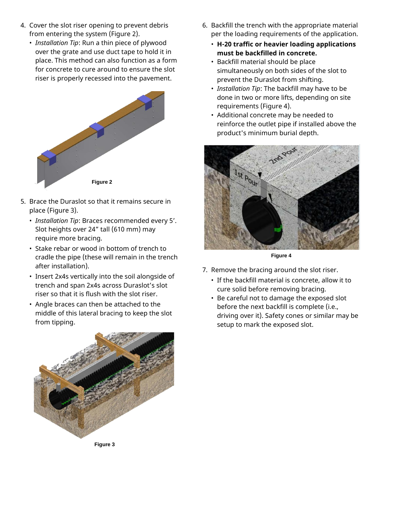- 4. Cover the slot riser opening to prevent debris from entering the system (Figure 2).
	- *Installation Tip*: Run a thin piece of plywood over the grate and use duct tape to hold it in place. This method can also function as a form for concrete to cure around to ensure the slot riser is properly recessed into the pavement.



- 5. Brace the Duraslot so that it remains secure in place (Figure 3).
	- *Installation Tip*: Braces recommended every 5'. Slot heights over 24" tall (610 mm) may require more bracing.
	- Stake rebar or wood in bottom of trench to cradle the pipe (these will remain in the trench after installation).
	- Insert 2x4s vertically into the soil alongside of trench and span 2x4s across Duraslot's slot riser so that it is flush with the slot riser.
	- Angle braces can then be attached to the middle of this lateral bracing to keep the slot from tipping.



- 6. Backfill the trench with the appropriate material per the loading requirements of the application.
	- **H-20 traffic or heavier loading applications must be backfilled in concrete.**
	- Backfill material should be place simultaneously on both sides of the slot to prevent the Duraslot from shifting.
	- *Installation Tip*: The backfill may have to be done in two or more lifts, depending on site requirements (Figure 4).
	- Additional concrete may be needed to reinforce the outlet pipe if installed above the product's minimum burial depth.



**Figure 4**

- 7. Remove the bracing around the slot riser.
	- If the backfill material is concrete, allow it to cure solid before removing bracing.
	- Be careful not to damage the exposed slot before the next backfill is complete (i.e., driving over it). Safety cones or similar may be setup to mark the exposed slot.

**Figure 3**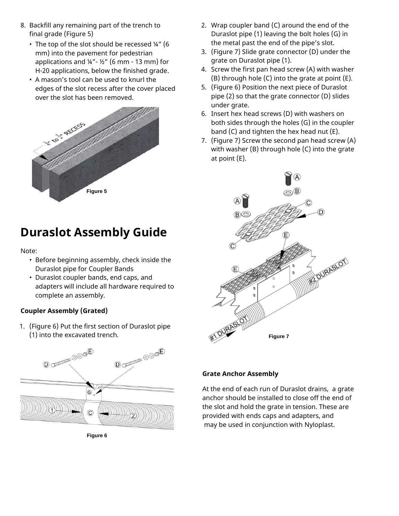- 8. Backfill any remaining part of the trench to final grade (Figure 5)
	- The top of the slot should be recessed ¼" (6 mm) into the pavement for pedestrian applications and ¼"- ½" (6 mm - 13 mm) for H-20 applications, below the finished grade.
	- A mason's tool can be used to knurl the edges of the slot recess after the cover placed over the slot has been removed.



## **Duraslot Assembly Guide**

Note:

- Before beginning assembly, check inside the Duraslot pipe for Coupler Bands
- Duraslot coupler bands, end caps, and adapters will include all hardware required to complete an assembly.

#### **Coupler Assembly (Grated)**

1. (Figure 6) Put the first section of Duraslot pipe (1) into the excavated trench.



**Figure 6**

- 2. Wrap coupler band (C) around the end of the Duraslot pipe (1) leaving the bolt holes (G) in the metal past the end of the pipe's slot.
- 3. (Figure 7) Slide grate connector (D) under the grate on Duraslot pipe (1).
- 4. Screw the first pan head screw (A) with washer (B) through hole (C) into the grate at point (E).
- 5. (Figure 6) Position the next piece of Duraslot pipe (2) so that the grate connector (D) slides under grate.
- 6. Insert hex head screws (D) with washers on both sides through the holes (G) in the coupler band (C) and tighten the hex head nut (E).
- 7. (Figure 7) Screw the second pan head screw (A) with washer (B) through hole (C) into the grate at point (E).



#### **Grate Anchor Assembly**

At the end of each run of Duraslot drains, a grate anchor should be installed to close off the end of the slot and hold the grate in tension. These are provided with ends caps and adapters, and may be used in conjunction with Nyloplast.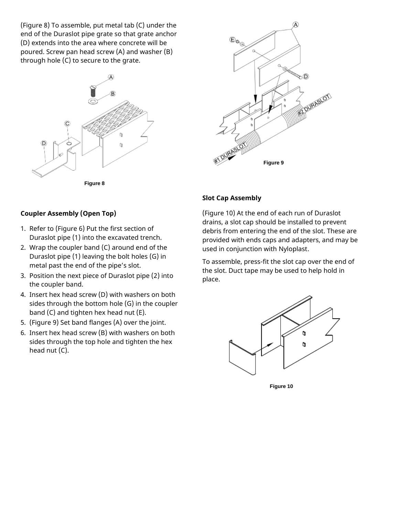(Figure 8) To assemble, put metal tab (C) under the end of the Duraslot pipe grate so that grate anchor (D) extends into the area where concrete will be poured. Screw pan head screw (A) and washer (B) through hole (C) to secure to the grate.





**Figure 8**

#### **Coupler Assembly (Open Top)**

- 1. Refer to (Figure 6) Put the first section of Duraslot pipe (1) into the excavated trench.
- 2. Wrap the coupler band (C) around end of the Duraslot pipe (1) leaving the bolt holes (G) in metal past the end of the pipe's slot.
- 3. Position the next piece of Duraslot pipe (2) into the coupler band.
- 4. Insert hex head screw (D) with washers on both sides through the bottom hole (G) in the coupler band (C) and tighten hex head nut (E).
- 5. (Figure 9) Set band flanges (A) over the joint.
- 6. Insert hex head screw (B) with washers on both sides through the top hole and tighten the hex head nut (C).

#### **Slot Cap Assembly**

(Figure 10) At the end of each run of Duraslot drains, a slot cap should be installed to prevent debris from entering the end of the slot. These are provided with ends caps and adapters, and may be used in conjunction with Nyloplast.

To assemble, press-fit the slot cap over the end of the slot. Duct tape may be used to help hold in place.



**Figure 10**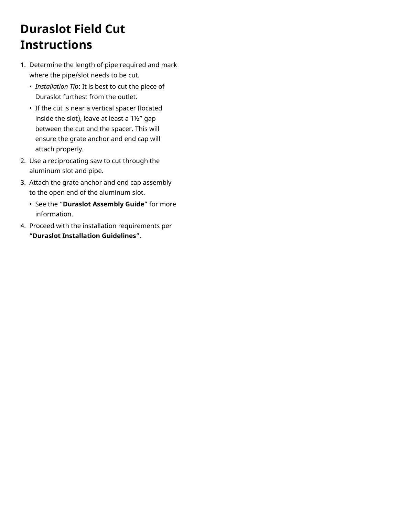# **Duraslot Field Cut Instructions**

- 1. Determine the length of pipe required and mark where the pipe/slot needs to be cut.
	- *Installation Tip*: It is best to cut the piece of Duraslot furthest from the outlet.
	- If the cut is near a vertical spacer (located inside the slot), leave at least a 1½" gap between the cut and the spacer. This will ensure the grate anchor and end cap will attach properly.
- 2. Use a reciprocating saw to cut through the aluminum slot and pipe.
- 3. Attach the grate anchor and end cap assembly to the open end of the aluminum slot.
	- See the "**Duraslot Assembly Guide**" for more information.
- 4. Proceed with the installation requirements per "**Duraslot Installation Guidelines**".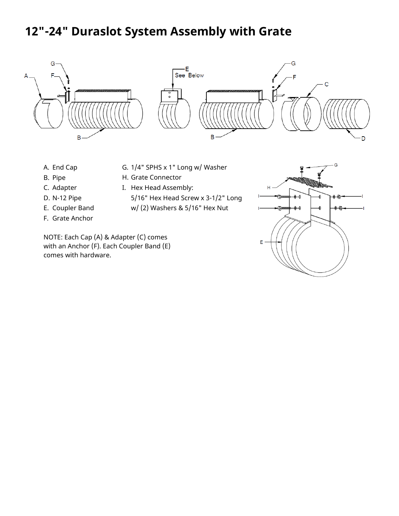### **12"-24" Duraslot System Assembly with Grate**



- A. End Cap
- B. Pipe
- C. Adapter
- D. N-12 Pipe
- E. Coupler Band
- F. Grate Anchor
- G. 1/4" SPHS x 1" Long w/ Washer
- H. Grate Connector
- I. Hex Head Assembly:
	- 5/16" Hex Head Screw x 3-1/2" Long
	- w/ (2) Washers & 5/16" Hex Nut

NOTE: Each Cap (A) & Adapter (C) comes with an Anchor (F). Each Coupler Band (E) comes with hardware.

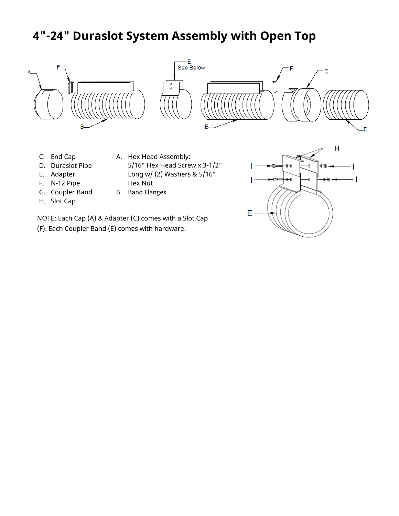## **4"-24" Duraslot System Assembly with Open Top**



- E. Adapter
- F. N-12 Pipe
- G. Coupler Band
- H. Slot Cap

Long w/ (2) Washers & 5/16" Hex Nut

B. Band Flanges

NOTE: Each Cap (A) & Adapter (C) comes with a Slot Cap (F). Each Coupler Band (E) comes with hardware.